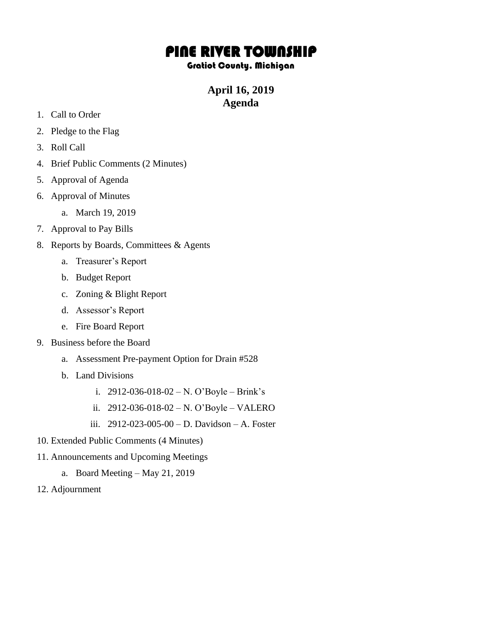# PINE RIVER TOWNSHIP

#### Gratiot County, Michigan

# **April 16, 2019 Agenda**

- 1. Call to Order
- 2. Pledge to the Flag
- 3. Roll Call
- 4. Brief Public Comments (2 Minutes)
- 5. Approval of Agenda
- 6. Approval of Minutes
	- a. March 19, 2019
- 7. Approval to Pay Bills
- 8. Reports by Boards, Committees & Agents
	- a. Treasurer's Report
	- b. Budget Report
	- c. Zoning & Blight Report
	- d. Assessor's Report
	- e. Fire Board Report
- 9. Business before the Board
	- a. Assessment Pre-payment Option for Drain #528
	- b. Land Divisions
		- i. 2912-036-018-02 N. O'Boyle Brink's
		- ii. 2912-036-018-02 N. O'Boyle VALERO
		- iii. 2912-023-005-00 D. Davidson A. Foster
- 10. Extended Public Comments (4 Minutes)
- 11. Announcements and Upcoming Meetings
	- a. Board Meeting May 21, 2019
- 12. Adjournment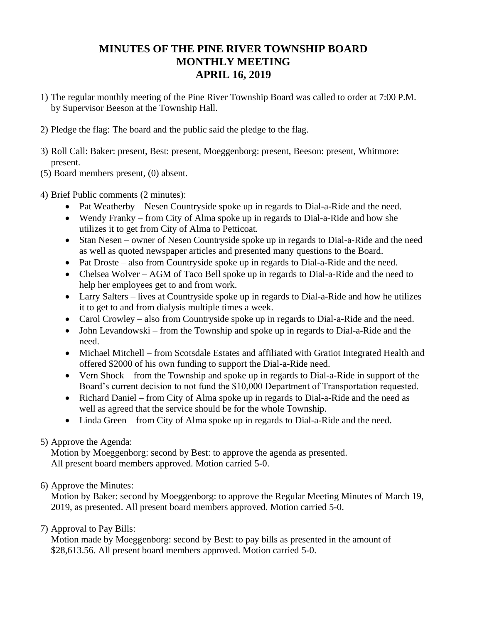## **MINUTES OF THE PINE RIVER TOWNSHIP BOARD MONTHLY MEETING APRIL 16, 2019**

- 1) The regular monthly meeting of the Pine River Township Board was called to order at 7:00 P.M. by Supervisor Beeson at the Township Hall.
- 2) Pledge the flag: The board and the public said the pledge to the flag.
- 3) Roll Call: Baker: present, Best: present, Moeggenborg: present, Beeson: present, Whitmore: present.
- (5) Board members present, (0) absent.
- 4) Brief Public comments (2 minutes):
	- Pat Weatherby Nesen Countryside spoke up in regards to Dial-a-Ride and the need.
	- Wendy Franky from City of Alma spoke up in regards to Dial-a-Ride and how she utilizes it to get from City of Alma to Petticoat.
	- Stan Nesen owner of Nesen Countryside spoke up in regards to Dial-a-Ride and the need as well as quoted newspaper articles and presented many questions to the Board.
	- Pat Droste also from Countryside spoke up in regards to Dial-a-Ride and the need.
	- Chelsea Wolver AGM of Taco Bell spoke up in regards to Dial-a-Ride and the need to help her employees get to and from work.
	- Larry Salters lives at Countryside spoke up in regards to Dial-a-Ride and how he utilizes it to get to and from dialysis multiple times a week.
	- Carol Crowley also from Countryside spoke up in regards to Dial-a-Ride and the need.
	- John Levandowski from the Township and spoke up in regards to Dial-a-Ride and the need.
	- Michael Mitchell from Scotsdale Estates and affiliated with Gratiot Integrated Health and offered \$2000 of his own funding to support the Dial-a-Ride need.
	- Vern Shock from the Township and spoke up in regards to Dial-a-Ride in support of the Board's current decision to not fund the \$10,000 Department of Transportation requested.
	- Richard Daniel from City of Alma spoke up in regards to Dial-a-Ride and the need as well as agreed that the service should be for the whole Township.
	- Linda Green from City of Alma spoke up in regards to Dial-a-Ride and the need.

## 5) Approve the Agenda:

Motion by Moeggenborg: second by Best: to approve the agenda as presented. All present board members approved. Motion carried 5-0.

## 6) Approve the Minutes:

Motion by Baker: second by Moeggenborg: to approve the Regular Meeting Minutes of March 19, 2019, as presented. All present board members approved. Motion carried 5-0.

## 7) Approval to Pay Bills:

Motion made by Moeggenborg: second by Best: to pay bills as presented in the amount of \$28,613.56. All present board members approved. Motion carried 5-0.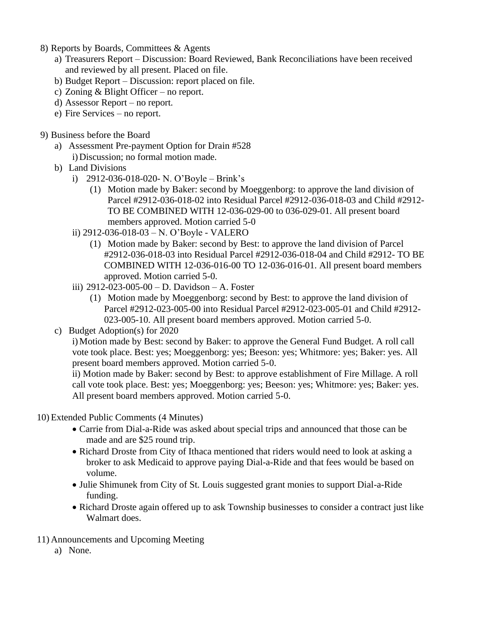- 8) Reports by Boards, Committees & Agents
	- a) Treasurers Report Discussion: Board Reviewed, Bank Reconciliations have been received and reviewed by all present. Placed on file.
	- b) Budget Report Discussion: report placed on file.
	- c) Zoning & Blight Officer no report.
	- d) Assessor Report no report.
	- e) Fire Services no report.

#### 9) Business before the Board

- a) Assessment Pre-payment Option for Drain #528 i) Discussion; no formal motion made.
- b) Land Divisions
	- i) 2912-036-018-020- N. O'Boyle Brink's
		- (1) Motion made by Baker: second by Moeggenborg: to approve the land division of Parcel #2912-036-018-02 into Residual Parcel #2912-036-018-03 and Child #2912- TO BE COMBINED WITH 12-036-029-00 to 036-029-01. All present board members approved. Motion carried 5-0
	- ii) 2912-036-018-03 N. O'Boyle VALERO
		- (1) Motion made by Baker: second by Best: to approve the land division of Parcel #2912-036-018-03 into Residual Parcel #2912-036-018-04 and Child #2912- TO BE COMBINED WITH 12-036-016-00 TO 12-036-016-01. All present board members approved. Motion carried 5-0.
	- iii) 2912-023-005-00 D. Davidson A. Foster
		- (1) Motion made by Moeggenborg: second by Best: to approve the land division of Parcel #2912-023-005-00 into Residual Parcel #2912-023-005-01 and Child #2912- 023-005-10. All present board members approved. Motion carried 5-0.
- c) Budget Adoption(s) for 2020

i)Motion made by Best: second by Baker: to approve the General Fund Budget. A roll call vote took place. Best: yes; Moeggenborg: yes; Beeson: yes; Whitmore: yes; Baker: yes. All present board members approved. Motion carried 5-0.

ii) Motion made by Baker: second by Best: to approve establishment of Fire Millage. A roll call vote took place. Best: yes; Moeggenborg: yes; Beeson: yes; Whitmore: yes; Baker: yes. All present board members approved. Motion carried 5-0.

10) Extended Public Comments (4 Minutes)

- Carrie from Dial-a-Ride was asked about special trips and announced that those can be made and are \$25 round trip.
- Richard Droste from City of Ithaca mentioned that riders would need to look at asking a broker to ask Medicaid to approve paying Dial-a-Ride and that fees would be based on volume.
- Julie Shimunek from City of St. Louis suggested grant monies to support Dial-a-Ride funding.
- Richard Droste again offered up to ask Township businesses to consider a contract just like Walmart does.
- 11) Announcements and Upcoming Meeting
	- a) None.